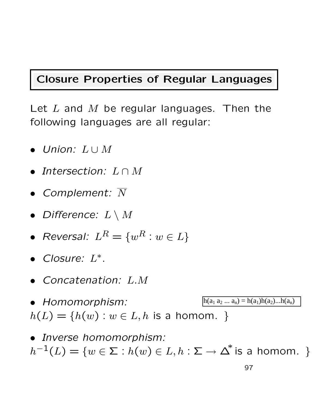### Closure Properties of Regular Languages

Let  $L$  and  $M$  be regular languages. Then the following languages are all regular:

- Union: L ∪ M
- Intersection:  $L \cap M$
- Complement:  $\overline{N}$
- Difference:  $L \setminus M$
- Reversal:  $L^R = \{w^R : w \in L\}$
- Closure: L<sup>∗</sup> .
- Concatenation: L.M
- Homomorphism:  $h(L) = \{h(w) : w \in L, h \text{ is a homom. }\}$  $h(a_1 a_2 ... a_n) = h(a_1)h(a_2)...h(a_n)$
- Inverse homomorphism:  $h^{-1}(L)=\{w\in \Sigma: h(w)\in L, h:\Sigma\to\Delta^{*} \text{ is a homom. }\}$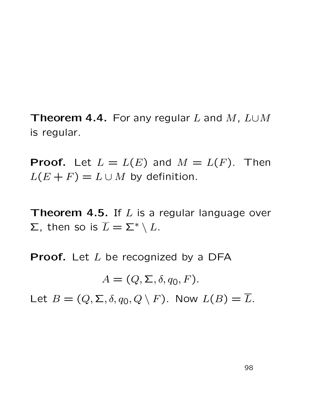Theorem 4.4. For any regular L and M,  $L \cup M$ is regular.

**Proof.** Let  $L = L(E)$  and  $M = L(F)$ . Then  $L(E + F) = L \cup M$  by definition.

**Theorem 4.5.** If  $L$  is a regular language over  $\Sigma$ , then so is  $\overline{L} = \Sigma^* \setminus L$ .

**Proof.** Let  $L$  be recognized by a DFA

 $A = (Q, \Sigma, \delta, q_0, F).$ 

Let  $B = (Q, \Sigma, \delta, q_0, Q \setminus F)$ . Now  $L(B) = \overline{L}$ .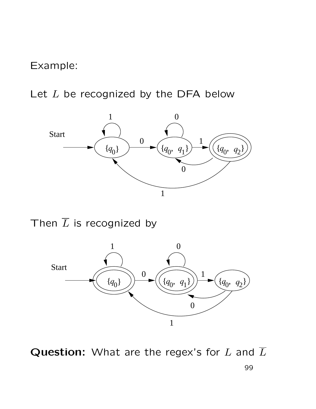Example:

Let  $L$  be recognized by the DFA below



Then  $\overline{L}$  is recognized by



Question: What are the regex's for  $L$  and  $\overline{L}$ 99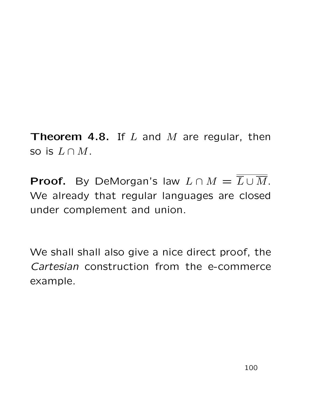Theorem 4.8. If  $L$  and  $M$  are regular, then so is  $L \cap M$ .

**Proof.** By DeMorgan's law  $L \cap M = \overline{L \cup M}$ . We already that regular languages are closed under complement and union.

We shall shall also give a nice direct proof, the Cartesian construction from the e-commerce example.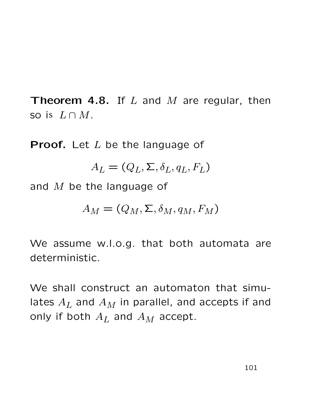**Theorem 4.8.** If  $L$  and  $M$  are regular, then so is  $L \cap M$ .

**Proof.** Let  $L$  be the language of

$$
A_L = (Q_L, \Sigma, \delta_L, q_L, F_L)
$$

and  $M$  be the language of

$$
A_M = (Q_M, \Sigma, \delta_M, q_M, F_M)
$$

We assume w.l.o.g. that both automata are deterministic.

We shall construct an automaton that simulates  $A_L$  and  $A_M$  in parallel, and accepts if and only if both  $A_L$  and  $A_M$  accept.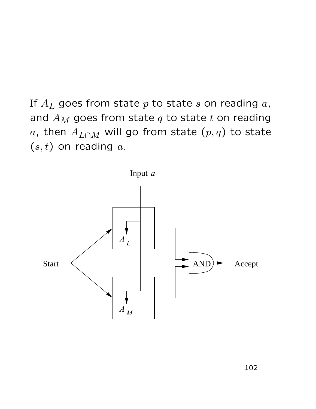If  $A_L$  goes from state p to state s on reading  $a$ , and  $A_M$  goes from state  $q$  to state  $t$  on reading a, then  $A_{L\cap M}$  will go from state  $(p,q)$  to state  $(s, t)$  on reading  $a$ .

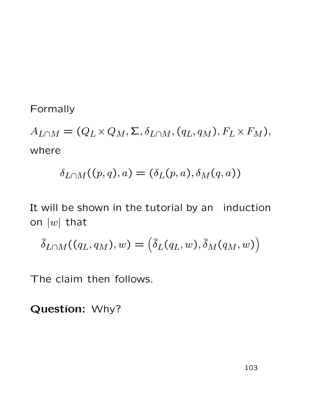#### Formally

 $A_{L\cap M} = (Q_L \times Q_M, \Sigma, \delta_{L\cap M}, (q_L, q_M), F_L \times F_M),$ where

$$
\delta_{L\cap M}((p,q),a)=(\delta_L(p,a),\delta_M(q,a))
$$

It will be shown in the tutorial by an induction on  $|w|$  that

$$
\hat{\delta}_{L\cap M}((q_L, q_M), w) = (\hat{\delta}_L(q_L, w), \hat{\delta}_M(q_M, w))
$$

The claim then follows.

Question: Why?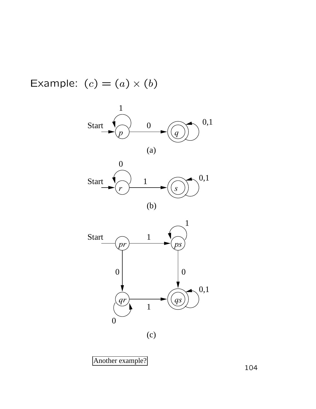Example:  $(c) = (a) \times (b)$ 





Another example?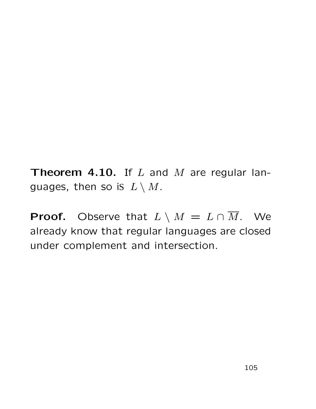**Theorem 4.10.** If  $L$  and  $M$  are regular languages, then so is  $L \setminus M$ .

**Proof.** Observe that  $L \setminus M = L \cap \overline{M}$ . We already know that regular languages are closed under complement and intersection.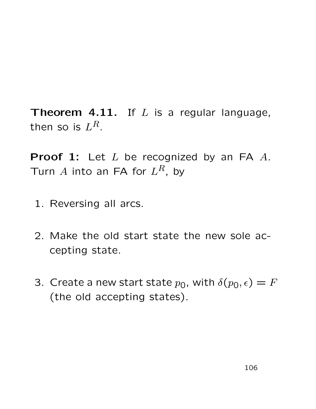**Theorem 4.11.** If  $L$  is a regular language, then so is  $L^R$ .

**Proof 1:** Let  $L$  be recognized by an FA  $A$ . Turn A into an FA for  $L^R$ , by

- 1. Reversing all arcs.
- 2. Make the old start state the new sole accepting state.
- 3. Create a new start state  $p_0$ , with  $\delta(p_0, \epsilon) = F$ (the old accepting states).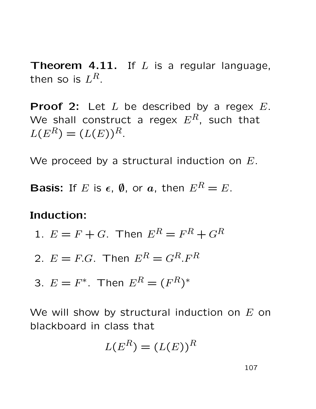**Theorem 4.11.** If  $L$  is a regular language, then so is  $L^R$ .

**Proof 2:** Let  $L$  be described by a regex  $E$ . We shall construct a regex  $E^R$ , such that  $L(E^{R}) = (L(E))^{R}$ .

We proceed by a structural induction on  $E$ .

**Basis:** If E is  $\epsilon$ ,  $\emptyset$ , or  $a$ , then  $E^R = E$ .

#### Induction:

1. 
$$
E = F + G.
$$
 Then 
$$
E^R = F^R + G^R
$$

- 2.  $E = F.G$ . Then  $E^R = G^R.F^R$
- 3.  $E = F^*$ . Then  $E^R = (F^R)^*$

We will show by structural induction on  $E$  on blackboard in class that

$$
L(E^R) = (L(E))^R
$$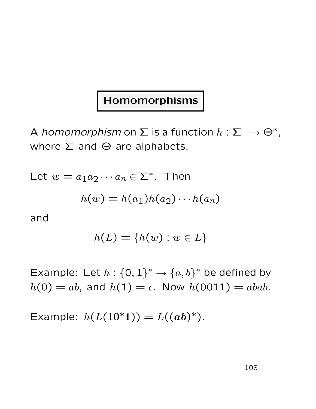### Homomorphisms

A homomorphism on  $\Sigma$  is a function  $h: \Sigma^-\to \Theta^*$ , where  $\Sigma$  and  $\Theta$  are alphabets.

Let  $w = a_1 a_2 \cdots a_n \in \Sigma^*$ . Then

$$
h(w) = h(a_1)h(a_2)\cdots h(a_n)
$$

and

$$
h(L) = \{h(w) : w \in L\}
$$

Example: Let  $h: \{0,1\}^* \rightarrow \{a,b\}^*$  be defined by  $h(0) = ab$ , and  $h(1) = \epsilon$ . Now  $h(0011) = abab$ .

Example:  $h(L(10^*1)) = L((ab)^*)$ .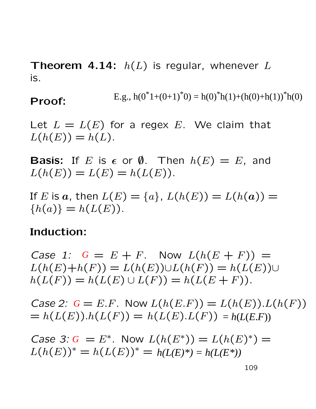**Theorem 4.14:**  $h(L)$  is regular, whenever L is.

#### Proof: E.g.,  $h(0^*1+(0+1)^*0) = h(0)^*h(1)+(h(0)+h(1))^*h(0)$

Let  $L = L(E)$  for a regex E. We claim that  $L(h(E)) = h(L)$ .

**Basis:** If E is  $\epsilon$  or  $\emptyset$ . Then  $h(E) = E$ , and  $L(h(E)) = L(E) = h(L(E)).$ 

If E is a, then  $L(E) = \{a\}$ ,  $L(h(E)) = L(h(a)) =$  ${h(a)} = h(L(E)).$ 

#### Induction:

*Case 1:*  $G = E + F$ . Now  $L(h(E + F)) =$  $L(h(E)+h(F)) = L(h(E)) \cup L(h(F)) = h(L(E)) \cup$  $h(L(F)) = h(L(E) \cup L(F)) = h(L(E + F)).$ 

*Case 2:*  $G = E.F$ . Now  $L(h(E.F)) = L(h(E)).L(h(F))$  $= h(L(E)).h(L(F)) = h(L(E).L(F)) = h(L(E.F))$ 

*Case 3: G* =  $E^*$ . Now  $L(h(E^*)) = L(h(E)^*) =$  $L(h(E))^* = h(L(E))^* = h(E(E))^*$ ∗  $h(L(E)^*) = h(L(E^*))$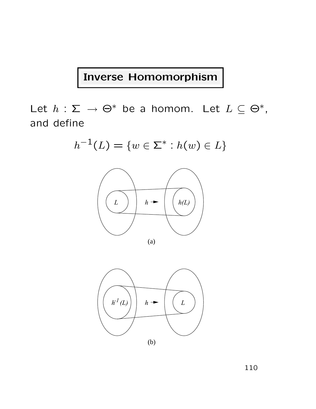### Inverse Homomorphism

Let  $h: \Sigma \to \Theta^*$  be a homom. Let  $L \subseteq \Theta^*$ , and define

$$
h^{-1}(L) = \{w \in \Sigma^* : h(w) \in L\}
$$



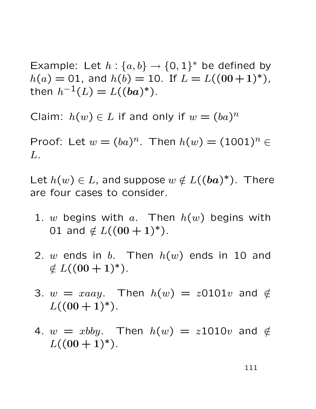Example: Let  $h: \{a, b\} \rightarrow \{0, 1\}^*$  be defined by  $h(a) = 01$ , and  $h(b) = 10$ . If  $L = L((00+1)^*)$ , then  $h^{-1}(L) = L((ba)^*).$ 

Claim:  $h(w) \in L$  if and only if  $w = (ba)^n$ 

Proof: Let  $w = (ba)^n$ . Then  $h(w) = (1001)^n \in$ L.

Let  $h(w) \in L$ , and suppose  $w \notin L((ba)^*)$ . There are four cases to consider.

- 1. w begins with a. Then  $h(w)$  begins with 01 and  $\notin L((00+1)^{*})$ .
- 2. w ends in b. Then  $h(w)$  ends in 10 and  $\notin L((00+1)^{*}).$
- 3.  $w = xaay$ . Then  $h(w) = z0101v$  and  $\notin$  $L((00+1)^{*}).$
- 4.  $w = xbby$ . Then  $h(w) = z1010v$  and  $\notin$  $L((00+1)^{*}).$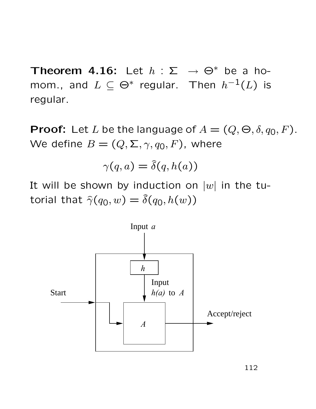Theorem 4.16: Let  $h : \Sigma \rightarrow \Theta^*$  be a homom., and  $L \subseteq \Theta^*$  regular. Then  $h^{-1}(L)$  is regular.

**Proof:** Let L be the language of  $A = (Q, \Theta, \delta, q_0, F)$ . We define  $B = (Q, \Sigma, \gamma, q_0, F)$ , where

$$
\gamma(q,a) = \hat{\delta}(q,h(a))
$$

It will be shown by induction on  $|w|$  in the tutorial that  $\hat{\gamma}(q_0, w) = \hat{\delta}(q_0, h(w))$ 

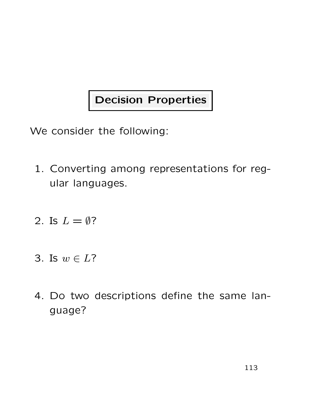# Decision Properties

We consider the following:

- 1. Converting among representations for regular languages.
- 2. Is  $L = \emptyset$ ?
- 3. Is  $w \in L$ ?
- 4. Do two descriptions define the same language?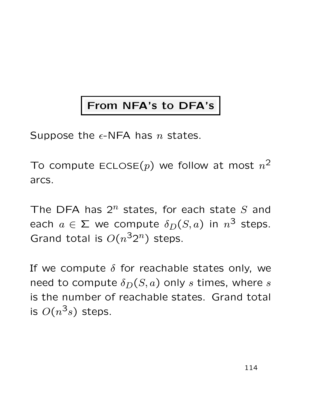# From NFA's to DFA's

Suppose the  $\epsilon$ -NFA has *n* states.

To compute ECLOSE $(p)$  we follow at most  $n^2$ arcs.

The DFA has  $2^n$  states, for each state S and each  $a\in \Sigma$  we compute  $\delta_D(S,a)$  in  $n^3$  steps. Grand total is  $O(n^32^n)$  steps.

If we compute  $\delta$  for reachable states only, we need to compute  $\delta_D(S, a)$  only s times, where s is the number of reachable states. Grand total is  $O(n^3s)$  steps.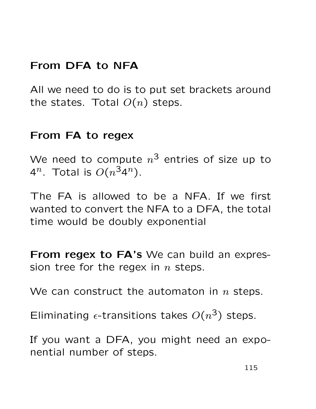### From DFA to NFA

All we need to do is to put set brackets around the states. Total  $O(n)$  steps.

#### From FA to regex

We need to compute  $n^{\texttt{3}}$  entries of size up to 4<sup>n</sup>. Total is  $O(n^{3}4^{n})$ .

The FA is allowed to be a NFA. If we first wanted to convert the NFA to a DFA, the total time would be doubly exponential

From regex to FA's We can build an expression tree for the regex in  $n$  steps.

We can construct the automaton in  $n$  steps.

Eliminating  $\epsilon$ -transitions takes  $O(n^3)$  steps.

If you want a DFA, you might need an exponential number of steps.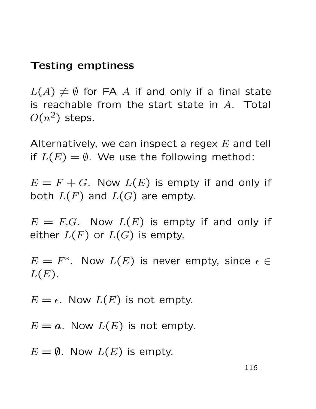### Testing emptiness

 $L(A) \neq \emptyset$  for FA A if and only if a final state is reachable from the start state in  $A$ . Total  $O(n^2)$  steps.

Alternatively, we can inspect a regex  $E$  and tell if  $L(E) = \emptyset$ . We use the following method:

 $E = F + G$ . Now  $L(E)$  is empty if and only if both  $L(F)$  and  $L(G)$  are empty.

 $E = F.G$ . Now  $L(E)$  is empty if and only if either  $L(F)$  or  $L(G)$  is empty.

 $E=F^*$ . Now  $L(E)$  is never empty, since  $\epsilon \in$  $L(E)$ .

 $E = \epsilon$ . Now  $L(E)$  is not empty.

 $E = a$ . Now  $L(E)$  is not empty.

 $E = \emptyset$ . Now  $L(E)$  is empty.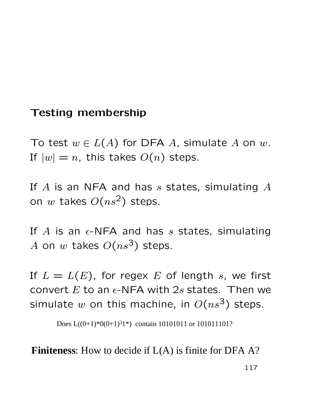#### Testing membership

To test  $w \in L(A)$  for DFA A, simulate A on w. If  $|w| = n$ , this takes  $O(n)$  steps.

If  $A$  is an NFA and has  $s$  states, simulating  $A$ on w takes  $O(ns^2)$  steps.

If A is an  $\epsilon$ -NFA and has s states, simulating A on w takes  $O(ns^3)$  steps.

If  $L = L(E)$ , for regex E of length s, we first convert  $E$  to an  $\epsilon$ -NFA with 2s states. Then we simulate w on this machine, in  $O(ns^3)$  steps.

Does  $L((0+1)^*0(0+1)^31^*)$  contain 10101011 or 101011101?<br>**Finiteness:** How to decide if  $L(A)$  is finite for DFA A?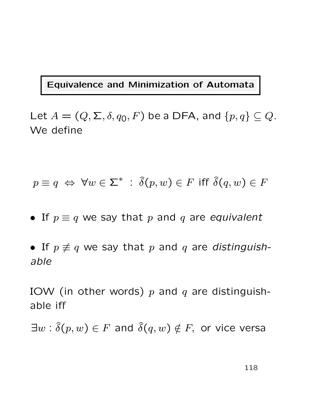#### Equivalence and Minimization of Automata

Let  $A = (Q, \Sigma, \delta, q_0, F)$  be a DFA, and  $\{p, q\} \subseteq Q$ . We define

$$
p \equiv q \iff \forall w \in \Sigma^* \; : \; \hat{\delta}(p, w) \in F \text{ iff } \hat{\delta}(q, w) \in F
$$

- If  $p \equiv q$  we say that p and q are equivalent
- If  $p \not\equiv q$  we say that p and q are distinguishable

IOW (in other words)  $p$  and  $q$  are distinguishable iff

 $\exists w : \widehat{\delta}(p, w) \in F$  and  $\widehat{\delta}(q, w) \notin F$ , or vice versa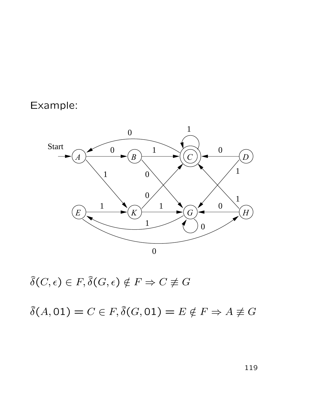### Example:



 $\hat{\delta}(C, \epsilon) \in F, \hat{\delta}(G, \epsilon) \notin F \Rightarrow C \not\equiv G$ 

 $\hat{\delta}(A, 01) = C \in F, \hat{\delta}(G, 01) = E \notin F \Rightarrow A \not\equiv G$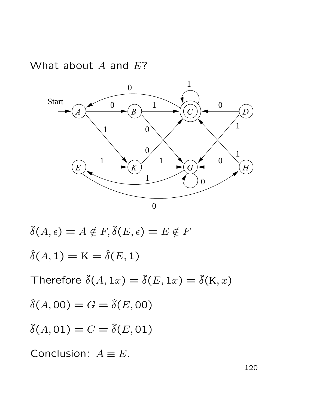What about  $A$  and  $E$ ?



$$
\hat{\delta}(A, \epsilon) = A \notin F, \hat{\delta}(E, \epsilon) = E \notin F
$$
  
\n
$$
\hat{\delta}(A, 1) = \mathbf{K} = \hat{\delta}(E, 1)
$$
  
\nTherefore 
$$
\hat{\delta}(A, 1x) = \hat{\delta}(E, 1x) = \hat{\delta}(\mathbf{K}, x)
$$
  
\n
$$
\hat{\delta}(A, 00) = G = \hat{\delta}(E, 00)
$$
  
\n
$$
\hat{\delta}(A, 01) = C = \hat{\delta}(E, 01)
$$
  
\nConclusion:  $A \equiv E$ .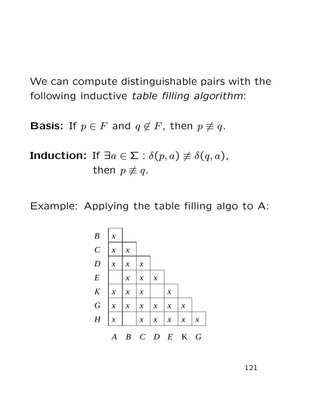We can compute distinguishable pairs with the following inductive table filling algorithm:

**Basis:** If  $p \in F$  and  $q \notin F$ , then  $p \not\equiv q$ .

**Induction:** If  $\exists a \in \Sigma : \delta(p, a) \not\equiv \delta(q, a)$ , then  $p \not\equiv q$ .

Example: Applying the table filling algo to A:

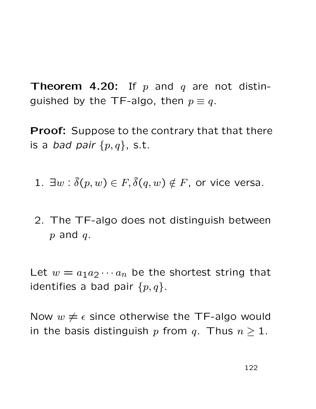**Theorem 4.20:** If p and q are not distinguished by the TF-algo, then  $p \equiv q$ .

**Proof:** Suppose to the contrary that that there is a *bad pair*  $\{p,q\}$ , s.t.

- 1.  $\exists w : \hat{\delta}(p, w) \in F, \hat{\delta}(q, w) \notin F$ , or vice versa.
- 2. The TF-algo does not distinguish between  $p$  and  $q$ .

Let  $w = a_1 a_2 \cdots a_n$  be the shortest string that identifies a bad pair  $\{p,q\}$ .

Now  $w \neq \epsilon$  since otherwise the TF-algo would in the basis distinguish p from q. Thus  $n \geq 1$ .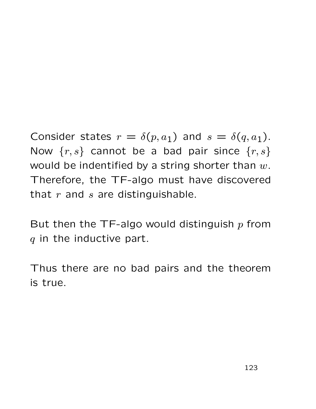Consider states  $r = \delta(p, a_1)$  and  $s = \delta(q, a_1)$ . Now  $\{r, s\}$  cannot be a bad pair since  $\{r, s\}$ would be indentified by a string shorter than  $w$ . Therefore, the TF-algo must have discovered that  $r$  and  $s$  are distinguishable.

But then the TF-algo would distinguish  $p$  from  $q$  in the inductive part.

Thus there are no bad pairs and the theorem is true.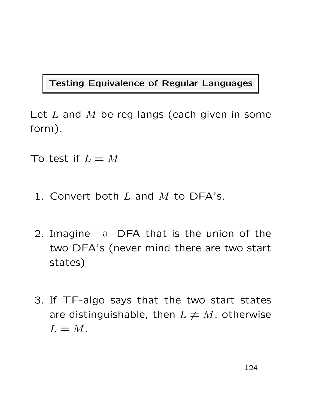#### Testing Equivalence of Regular Languages

Let  $L$  and  $M$  be reg langs (each given in some form).

To test if  $L = M$ 

- 1. Convert both  $L$  and  $M$  to DFA's.
- 2. Imagine a DFA that is the union of the two DFA's (never mind there are two start states)
- 3. If TF-algo says that the two start states are distinguishable, then  $L \neq M$ , otherwise  $L = M$ .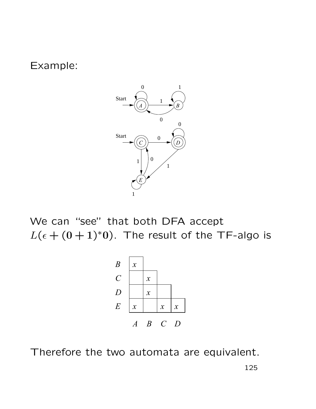Example:



We can "see" that both DFA accept  $L(\epsilon + (0+1)^*0)$ . The result of the TF-algo is



Therefore the two automata are equivalent.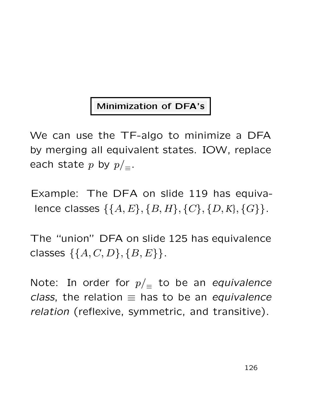### Minimization of DFA's

We can use the TF-algo to minimize a DFA by merging all equivalent states. IOW, replace each state p by  $p/_{\equiv}$ .

Example: The DFA on slide 119 has equivalence classes  $\{\{A, E\}, \{B, H\}, \{C\}, \{D, K\}, \{G\}\}.$ 

The "union" DFA on slide 125 has equivalence classes  $\{\{A, C, D\}, \{B, E\}\}.$ 

Note: In order for  $p/\equiv$  to be an equivalence class, the relation  $\equiv$  has to be an equivalence relation (reflexive, symmetric, and transitive).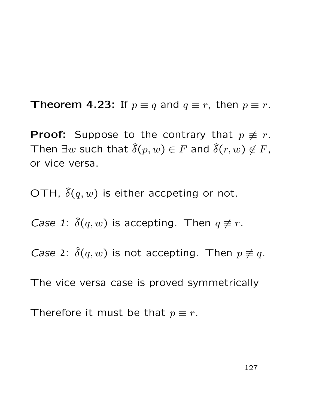**Theorem 4.23:** If  $p \equiv q$  and  $q \equiv r$ , then  $p \equiv r$ .

**Proof:** Suppose to the contrary that  $p \not\equiv r$ . Then  $\exists w$  such that  $\widehat{\delta}(p, w) \in F$  and  $\widehat{\delta}(r, w) \notin F$ , or vice versa.

OTH,  $\delta(q, w)$  is either accpeting or not.

Case 1:  $\hat{\delta}(q, w)$  is accepting. Then  $q \neq r$ .

Case 2:  $\hat{\delta}(q, w)$  is not accepting. Then  $p \not\equiv q$ .

The vice versa case is proved symmetrically

Therefore it must be that  $p \equiv r$ .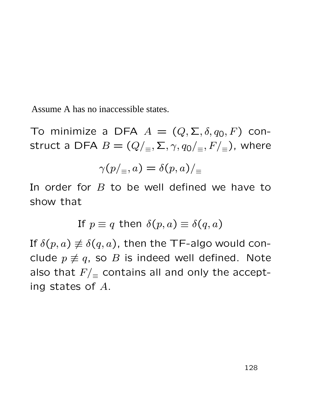Assume A has no inaccessible states.

To minimize a DFA  $A = (Q, \Sigma, \delta, q_0, F)$  construct a DFA  $B = (Q/_{\equiv}, \Sigma, \gamma, q_0/_{\equiv}, F/_{\equiv})$ , where

$$
\gamma(p/_{\equiv},a)=\delta(p,a)/_{\equiv}
$$

In order for  $B$  to be well defined we have to show that

If 
$$
p \equiv q
$$
 then  $\delta(p, a) \equiv \delta(q, a)$ 

If  $\delta(p, a) \not\equiv \delta(q, a)$ , then the TF-algo would conclude  $p \not\equiv q$ , so B is indeed well defined. Note also that  $F/_{\equiv}$  contains all and only the accepting states of A.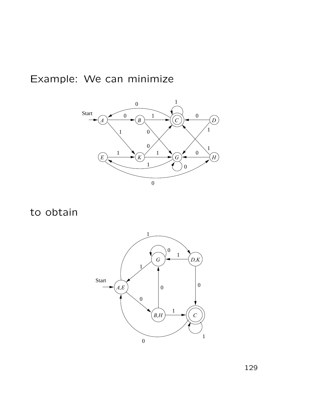### Example: We can minimize



to obtain

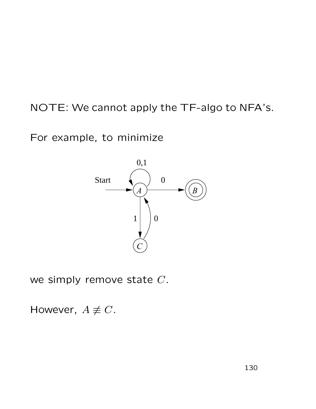## NOTE: We cannot apply the TF-algo to NFA's.

For example, to minimize



we simply remove state  $C$ .

However,  $A \not\equiv C$ .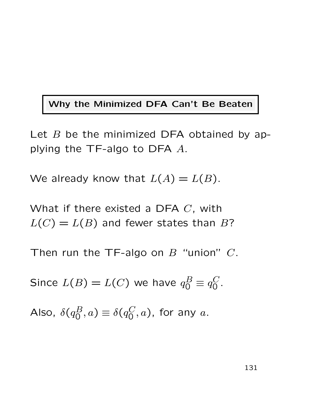#### Why the Minimized DFA Can't Be Beaten

Let  $B$  be the minimized DFA obtained by applying the TF-algo to DFA  $A$ .

We already know that  $L(A) = L(B)$ .

What if there existed a DFA  $C$ , with  $L(C) = L(B)$  and fewer states than B?

Then run the TF-algo on  $B$  "union"  $C$ .

Since  $L(B) = L(C)$  we have  $q_0^B \equiv q_0^C$  $\rm C \over 0$  .

Also, 
$$
\delta(q_0^B, a) \equiv \delta(q_0^C, a)
$$
, for any  $a$ .